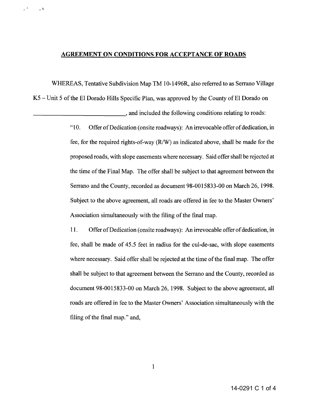## **AGREEMENT ON CONDITIONS FOR ACCEPTANCE OF ROADS**

·

 $\epsilon^{\prime\prime}$ 

WHEREAS, Tentative Subdivision Map TM 10-1496R, also referred to as Serrano Village

 $K5$  – Unit 5 of the El Dorado Hills Specific Plan, was approved by the County of El Dorado on

and included the following conditions relating to roads:

"10. Offer of Dedication (onsite roadways): An irrevocable offer of dedication, in fee, for the required rights-of-way (R/W) as indicated above, shall be made for the proposed roads, with slope easements where necessary. Said offer shall be rejected at the time of the Final Map. The offer shall be subject to that agreement between the Serrano and the County, recorded as document 98-0015833-00 on March 26, 1998. Subject to the above agreement, all roads are offered in fee to the Master Owners' Association simultaneously with the filing of the final map.

11. Offer of Dedication (onsite roadways): An irrevocable offer of dedication, in fee, shall be made of 45.5 feet in radius for the cul-de-sac, with slope easements where necessary. Said offer shall be rejected at the time of the final map. The offer shall be subject to that agreement between the Serrano and the County, recorded as document 98-0015833-00 on March 26, 1998. Subject to the above agreement, all roads are offered in fee to the Master Owners' Association simultaneously with the filing of the final map." and,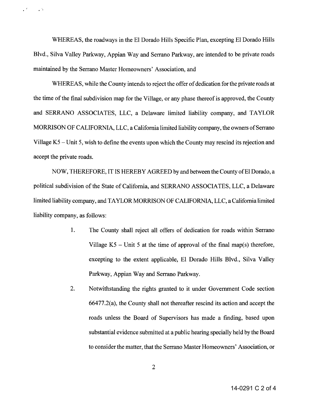WHEREAS, the roadways in the EI Dorado Hills Specific Plan, excepting EI Dorado Hills Blvd., Silva Valley Parkway, Appian Way and Serrano Parkway, are intended to be private roads maintained by the Serrano Master Homeowners' Association, and

 $\mathcal{L}^{\mathcal{L}}$  . The set of  $\mathcal{L}^{\mathcal{L}}$ 

WHEREAS, while the County intends to reject the offer of dedication for the private roads at the time of the final subdivision map for the Village, or any phase thereof is approved, the County and SERRANO ASSOCIATES, LLC, a Delaware limited liability company, and TAYLOR MORRISON OF CALIFORNIA, LLC, a California limited liability company, the owners of Serrano Village K5 - Unit 5, wish to define the events upon which the County may rescind its rejection and accept the private roads.

NOW, THEREFORE, IT IS HEREBY AGREED by and between the County of El Dorado, a political subdivision of the State of California, and SERRANO ASSOCIATES, LLC, a Delaware limited liability company, and TAYLOR MORRISON OF CALIFORNIA, LLC, a California limited liability company, as follows:

- 1. The County shall reject all offers of dedication for roads within Serrano Village  $K5$  – Unit 5 at the time of approval of the final map(s) therefore, excepting to the extent applicable, EI Dorado Hills Blvd., Silva Valley Parkway, Appian Way and Serrano Parkway.
- 2. Notwithstanding the rights granted to it under Government Code section 66477.2(a), the County shall not thereafter rescind its action and accept the roads unless the Board of Supervisors has made a finding, based upon substantial evidence submitted at a public hearing specially held by the Board to consider the matter, that the Serrano Master Homeowners' Association, or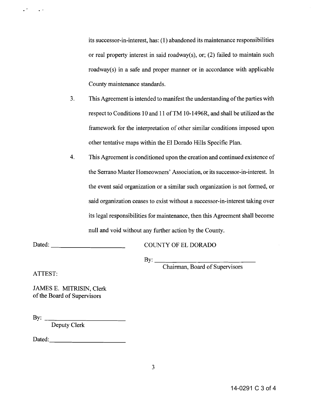its successor-in-interest, has: (l) abandoned its maintenance responsibilities or real property interest in said roadway(s), or; (2) failed to maintain such roadway(s) in a safe and proper manner or in accordance with applicable County maintenance standards.

- 3. This Agreement is intended to manifest the understanding of the parties with respect to Conditions 10 and 11 of TM 10-1496R, and shall be utilized as the framework for the interpretation of other similar conditions imposed upon other tentative maps within the EI Dorado Hills Specific Plan.
- 4. This Agreement is conditioned upon the creation and continued existence of the Serrano Master Homeowners' Association, or its successor-in-interest. In the event said organization or a similar such organization is not formed, or said organization ceases to exist without a successor-in-interest taking over its legal responsibilities for maintenance, then this Agreement shall become null and void without any further action by the County.

Dated:

COUNTY OF EL DORADO

 $\mathbf{B} \mathbf{y}$ :

Chairman, Board of Supervisors

ATTEST:

· '

 $\mathbb{R}^{\bullet}$ 

JAMES E. MITRISIN, Clerk of the Board of Supervisors

By:  $\qquad \qquad$ 

Deputy Clerk

Dated: with a set of  $\mathcal{D}$  and  $\mathcal{D}$  and  $\mathcal{D}$  are  $\mathcal{D}$  and  $\mathcal{D}$  and  $\mathcal{D}$  are  $\mathcal{D}$  and  $\mathcal{D}$  and  $\mathcal{D}$  are  $\mathcal{D}$  and  $\mathcal{D}$  and  $\mathcal{D}$  are  $\mathcal{D}$  and  $\mathcal{D}$  and  $\mathcal{D}$  are  $\mathcal{D$